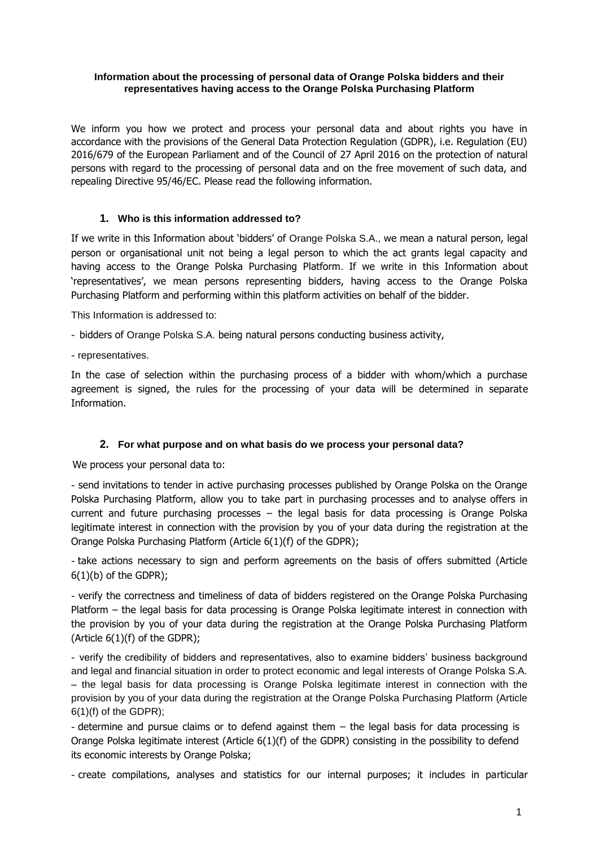#### **Information about the processing of personal data of Orange Polska bidders and their representatives having access to the Orange Polska Purchasing Platform**

We inform you how we protect and process your personal data and about rights you have in accordance with the provisions of the General Data Protection Regulation (GDPR), i.e. Regulation (EU) 2016/679 of the European Parliament and of the Council of 27 April 2016 on the protection of natural persons with regard to the processing of personal data and on the free movement of such data, and repealing Directive 95/46/EC. Please read the following information.

#### **1. Who is this information addressed to?**

If we write in this Information about 'bidders' of Orange Polska S.A., we mean a natural person, legal person or organisational unit not being a legal person to which the act grants legal capacity and having access to the Orange Polska Purchasing Platform. If we write in this Information about 'representatives', we mean persons representing bidders, having access to the Orange Polska Purchasing Platform and performing within this platform activities on behalf of the bidder.

This Information is addressed to:

- bidders of Orange Polska S.A. being natural persons conducting business activity,
- representatives.

In the case of selection within the purchasing process of a bidder with whom/which a purchase agreement is signed, the rules for the processing of your data will be determined in separate Information.

# **2. For what purpose and on what basis do we process your personal data?**

We process your personal data to:

- send invitations to tender in active purchasing processes published by Orange Polska on the Orange Polska Purchasing Platform, allow you to take part in purchasing processes and to analyse offers in current and future purchasing processes – the legal basis for data processing is Orange Polska legitimate interest in connection with the provision by you of your data during the registration at the Orange Polska Purchasing Platform (Article 6(1)(f) of the GDPR);

- take actions necessary to sign and perform agreements on the basis of offers submitted (Article  $6(1)(b)$  of the GDPR);

- verify the correctness and timeliness of data of bidders registered on the Orange Polska Purchasing Platform – the legal basis for data processing is Orange Polska legitimate interest in connection with the provision by you of your data during the registration at the Orange Polska Purchasing Platform (Article  $6(1)(f)$  of the GDPR);

- verify the credibility of bidders and representatives, also to examine bidders' business background and legal and financial situation in order to protect economic and legal interests of Orange Polska S.A. – the legal basis for data processing is Orange Polska legitimate interest in connection with the provision by you of your data during the registration at the Orange Polska Purchasing Platform (Article 6(1)(f) of the GDPR);

- determine and pursue claims or to defend against them – the legal basis for data processing is Orange Polska legitimate interest (Article 6(1)(f) of the GDPR) consisting in the possibility to defend its economic interests by Orange Polska;

- create compilations, analyses and statistics for our internal purposes; it includes in particular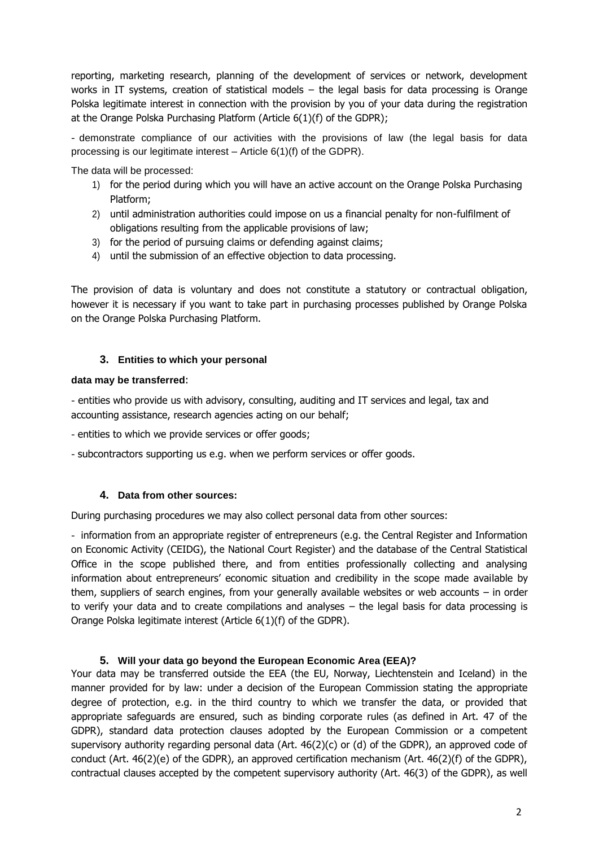reporting, marketing research, planning of the development of services or network, development works in IT systems, creation of statistical models – the legal basis for data processing is Orange Polska legitimate interest in connection with the provision by you of your data during the registration at the Orange Polska Purchasing Platform (Article 6(1)(f) of the GDPR);

- demonstrate compliance of our activities with the provisions of law (the legal basis for data processing is our legitimate interest – Article 6(1)(f) of the GDPR).

The data will be processed:

- 1) for the period during which you will have an active account on the Orange Polska Purchasing Platform;
- 2) until administration authorities could impose on us a financial penalty for non-fulfilment of obligations resulting from the applicable provisions of law;
- 3) for the period of pursuing claims or defending against claims;
- 4) until the submission of an effective objection to data processing.

The provision of data is voluntary and does not constitute a statutory or contractual obligation, however it is necessary if you want to take part in purchasing processes published by Orange Polska on the Orange Polska Purchasing Platform.

#### **3. Entities to which your personal**

#### **data may be transferred**:

- entities who provide us with advisory, consulting, auditing and IT services and legal, tax and accounting assistance, research agencies acting on our behalf;

- entities to which we provide services or offer goods;
- subcontractors supporting us e.g. when we perform services or offer goods.

# **4. Data from other sources:**

During purchasing procedures we may also collect personal data from other sources:

- information from an appropriate register of entrepreneurs (e.g. the Central Register and Information on Economic Activity (CEIDG), the National Court Register) and the database of the Central Statistical Office in the scope published there, and from entities professionally collecting and analysing information about entrepreneurs' economic situation and credibility in the scope made available by them, suppliers of search engines, from your generally available websites or web accounts – in order to verify your data and to create compilations and analyses – the legal basis for data processing is Orange Polska legitimate interest (Article 6(1)(f) of the GDPR).

# **5. Will your data go beyond the European Economic Area (EEA)?**

Your data may be transferred outside the EEA (the EU, Norway, Liechtenstein and Iceland) in the manner provided for by law: under a decision of the European Commission stating the appropriate degree of protection, e.g. in the third country to which we transfer the data, or provided that appropriate safeguards are ensured, such as binding corporate rules (as defined in Art. 47 of the GDPR), standard data protection clauses adopted by the European Commission or a competent supervisory authority regarding personal data (Art. 46(2)(c) or (d) of the GDPR), an approved code of conduct (Art. 46(2)(e) of the GDPR), an approved certification mechanism (Art. 46(2)(f) of the GDPR), contractual clauses accepted by the competent supervisory authority (Art. 46(3) of the GDPR), as well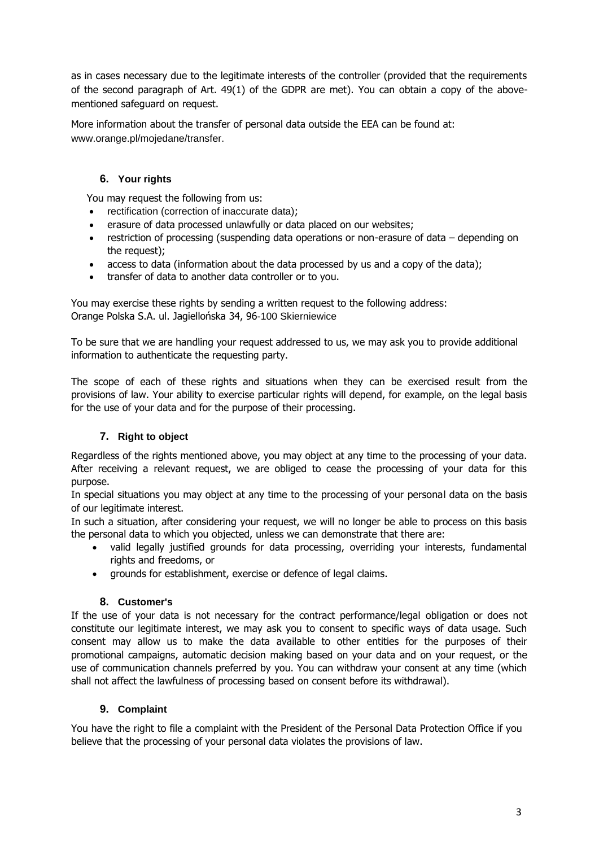as in cases necessary due to the legitimate interests of the controller (provided that the requirements of the second paragraph of Art. 49(1) of the GDPR are met). You can obtain a copy of the abovementioned safeguard on request.

More information about the transfer of personal data outside the EEA can be found at: [www.orange.pl/mojedane/transfer.](http://www.orange.pl/mojedane/transfer)

# **6. Your rights**

You may request the following from us:

- rectification (correction of inaccurate data);
- erasure of data processed unlawfully or data placed on our websites;
- restriction of processing (suspending data operations or non-erasure of data depending on the request);
- access to data (information about the data processed by us and a copy of the data);
- transfer of data to another data controller or to you.

You may exercise these rights by sending a written request to the following address: Orange Polska S.A. ul. Jagiellońska 34, 96-100 Skierniewice

To be sure that we are handling your request addressed to us, we may ask you to provide additional information to authenticate the requesting party.

The scope of each of these rights and situations when they can be exercised result from the provisions of law. Your ability to exercise particular rights will depend, for example, on the legal basis for the use of your data and for the purpose of their processing.

# **7. Right to object**

Regardless of the rights mentioned above, you may object at any time to the processing of your data. After receiving a relevant request, we are obliged to cease the processing of your data for this purpose.

In special situations you may object at any time to the processing of your personal data on the basis of our legitimate interest.

In such a situation, after considering your request, we will no longer be able to process on this basis the personal data to which you objected, unless we can demonstrate that there are:

- valid legally justified grounds for data processing, overriding your interests, fundamental rights and freedoms, or
- grounds for establishment, exercise or defence of legal claims.

# **8. Customer's**

If the use of your data is not necessary for the contract performance/legal obligation or does not constitute our legitimate interest, we may ask you to consent to specific ways of data usage. Such consent may allow us to make the data available to other entities for the purposes of their promotional campaigns, automatic decision making based on your data and on your request, or the use of communication channels preferred by you. You can withdraw your consent at any time (which shall not affect the lawfulness of processing based on consent before its withdrawal).

# **9. Complaint**

You have the right to file a complaint with the President of the Personal Data Protection Office if you believe that the processing of your personal data violates the provisions of law.